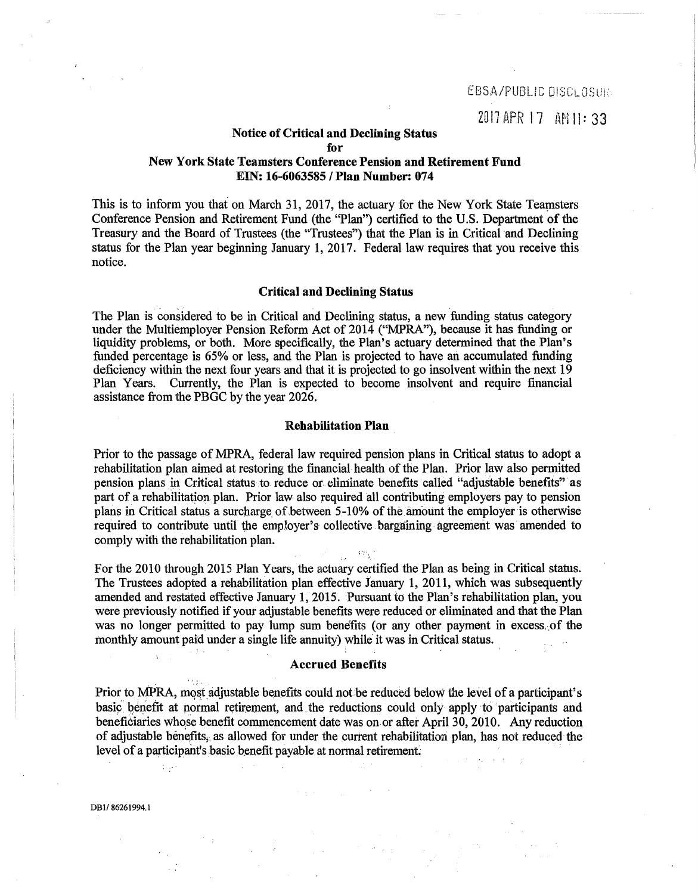## Notice of Critical and Declining Status

for

## New York State Teamsters Conference Pension and Retirement Fund EIN: 16-6063585 I Plan Number: 074

This is to inform you that on March 31, 2017, the actuary for the New York State Teamsters Conference Pension and Retirement Fund (the "Plan") certified to the U.S. Department of the Treasury and the Board of Trustees (the "Trustees") that the Plan is in Critical and Declining status for the Plan year beginning January 1, 2017. Federal law requires that you receive this notice.

# Critical and Declining Status

The Plan is considered to be in Critical and Declining status, a new funding status category under the Multiemployer Pension Reform Act of 2014 ("MPRA"), because it has funding or liquidity problems, or both. More specifically, the Plan's actuary determined that the Plan's funded percentage is 65% or less, and the Plan is projected to have an accumulated funding deficiency within the next four years and that it is projected to go insolvent within the next 19 Plan Years. Currently, the Plan is expected to become insolvent and require financial assistance from the PBGC by the year 2026.

### Rehabilitation Plan

Prior to the passage of MPRA, federal law required pension plans in Critical status to adopt a rehabilitation plan aimed at restoring the financial·health of the Plan. Prior law also permitted pension plans in Critical status to reduce or. eliminate benefits called ''adjustable benefits" as part of a rehabilitation plan. Prior law also required all contributing employers pay to pension plans in Critical status a surcharge of between 5-10% of the amount the employer is otherwise required to contribute until the employer's· collective bargaining agreement was amended to comply with the rehabilitation plan.

For the 2010 through 2015 Plan Years, the actuary certified the Plan as being in Critical status. The Trustees adopted a rehabilitation plan effective January 1, 2011, which was subsequently amended and restated effective January 1, 2015. Pursuant to the Plan's rehabilitation plan, you were previously notified if your adjustable benefits were reduced or eliminated and that the Plan was no longer permitted to pay lump sum benefits (or any other payment in excess. of the monthly amount paid under a single life annuity) while it was in Critical status.

3 Trig

#### Accrued Benefits

Prior to MPRA, most adjustable benefits could not be reduced below the level of a participant's basic benefit at normal retirement, and the reductions could only apply to participants and beneficiaries whose benefit commencement date was on or after April 30, 2010. Any reduction of adjustable benefits, as allowed for under the current rehabilitation plan, has not reduced the level of a participant's basic benefit payable at normal retirement.

 $\chi^2 \approx 10^5$ 

 $\frac{1}{2} \log \frac{1}{2}$